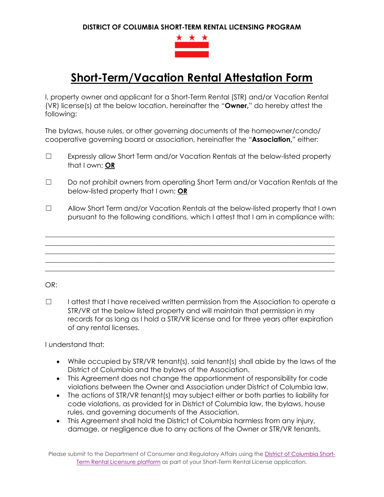**DISTRICT OF COLUMBIA SHORT-TERM RENTAL LICENSING PROGRAM**



## **Short-Term/Vacation Rental Attestation Form**

I, property owner and applicant for a Short-Term Rental (STR) and/or Vacation Rental (VR) license(s) at the below location, hereinafter the "**Owner,**" do hereby attest the following:

The bylaws, house rules, or other governing documents of the homeowner/condo/ cooperative governing board or association, hereinafter the "**Association,**" either:

- ☐ Expressly allow Short Term and/or Vacation Rentals at the below-listed property that I own; **OR**
- ☐ Do not prohibit owners from operating Short Term and/or Vacation Rentals at the below-listed property that I own; **OR**
- ☐ Allow Short Term and/or Vacation Rentals at the below-listed property that I own pursuant to the following conditions, which I attest that I am in compliance with:

\_\_\_\_\_\_\_\_\_\_\_\_\_\_\_\_\_\_\_\_\_\_\_\_\_\_\_\_\_\_\_\_\_\_\_\_\_\_\_\_\_\_\_\_\_\_\_\_\_\_\_\_\_\_\_\_\_\_\_\_\_\_\_\_\_\_\_\_\_\_\_\_\_\_\_\_\_\_\_\_\_\_\_\_ \_\_\_\_\_\_\_\_\_\_\_\_\_\_\_\_\_\_\_\_\_\_\_\_\_\_\_\_\_\_\_\_\_\_\_\_\_\_\_\_\_\_\_\_\_\_\_\_\_\_\_\_\_\_\_\_\_\_\_\_\_\_\_\_\_\_\_\_\_\_\_\_\_\_\_\_\_\_\_\_\_\_\_\_ \_\_\_\_\_\_\_\_\_\_\_\_\_\_\_\_\_\_\_\_\_\_\_\_\_\_\_\_\_\_\_\_\_\_\_\_\_\_\_\_\_\_\_\_\_\_\_\_\_\_\_\_\_\_\_\_\_\_\_\_\_\_\_\_\_\_\_\_\_\_\_\_\_\_\_\_\_\_\_\_\_\_\_\_ \_\_\_\_\_\_\_\_\_\_\_\_\_\_\_\_\_\_\_\_\_\_\_\_\_\_\_\_\_\_\_\_\_\_\_\_\_\_\_\_\_\_\_\_\_\_\_\_\_\_\_\_\_\_\_\_\_\_\_\_\_\_\_\_\_\_\_\_\_\_\_\_\_\_\_\_\_\_\_\_\_\_\_\_ \_\_\_\_\_\_\_\_\_\_\_\_\_\_\_\_\_\_\_\_\_\_\_\_\_\_\_\_\_\_\_\_\_\_\_\_\_\_\_\_\_\_\_\_\_\_\_\_\_\_\_\_\_\_\_\_\_\_\_\_\_\_\_\_\_\_\_\_\_\_\_\_\_\_\_\_\_\_\_\_\_\_\_\_

OR:

☐ I attest that I have received written permission from the Association to operate a STR/VR at the below listed property and will maintain that permission in my records for as long as I hold a STR/VR license and for three years after expiration of any rental licenses.

I understand that:

- While occupied by STR/VR tenant(s), said tenant(s) shall abide by the laws of the District of Columbia and the bylaws of the Association.
- This Agreement does not change the apportionment of responsibility for code violations between the Owner and Association under District of Columbia law.
- The actions of STR/VR tenant(s) may subject either or both parties to liability for code violations, as provided for in District of Columbia law, the bylaws, house rules, and governing documents of the Association.
- This Agreement shall hold the District of Columbia harmless from any injury, damage, or negligence due to any actions of the Owner or STR/VR tenants.

Please submit to the Department of Consumer and Regulatory Affairs using the [District of Columbia Short-](https://dcra.munirevs.com/)[Term Rental Licensure platform](https://dcra.munirevs.com/) as part of your Short-Term Rental License application.